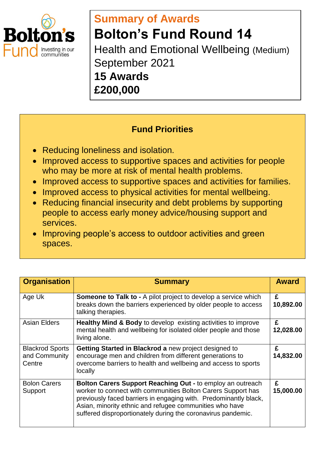

## **Summary of Awards Bolton's Fund Round 14** Health and Emotional Wellbeing (Medium) September 2021 **15 Awards £200,000**

## **Fund Priorities**

- Reducing loneliness and isolation.
- Improved access to supportive spaces and activities for people who may be more at risk of mental health problems.
- Improved access to supportive spaces and activities for families.
- Improved access to physical activities for mental wellbeing.
- Reducing financial insecurity and debt problems by supporting people to access early money advice/housing support and services.
- Improving people's access to outdoor activities and green spaces.

| <b>Organisation</b>                               | <b>Summary</b>                                                                                                                                                                                                                                                                                                            | <b>Award</b>   |
|---------------------------------------------------|---------------------------------------------------------------------------------------------------------------------------------------------------------------------------------------------------------------------------------------------------------------------------------------------------------------------------|----------------|
| Age Uk                                            | <b>Someone to Talk to - A pilot project to develop a service which</b><br>breaks down the barriers experienced by older people to access<br>talking therapies.                                                                                                                                                            | £<br>10,892.00 |
| <b>Asian Elders</b>                               | <b>Healthy Mind &amp; Body to develop existing activities to improve</b><br>mental health and wellbeing for isolated older people and those<br>living alone.                                                                                                                                                              | £<br>12,028.00 |
| <b>Blackrod Sports</b><br>and Community<br>Centre | Getting Started in Blackrod a new project designed to<br>encourage men and children from different generations to<br>overcome barriers to health and wellbeing and access to sports<br>locally                                                                                                                            | £<br>14,832.00 |
| <b>Bolon Carers</b><br>Support                    | Bolton Carers Support Reaching Out - to employ an outreach<br>worker to connect with communities Bolton Carers Support has<br>previously faced barriers in engaging with. Predominantly black,<br>Asian, minority ethnic and refugee communities who have<br>suffered disproportionately during the coronavirus pandemic. | £<br>15,000.00 |